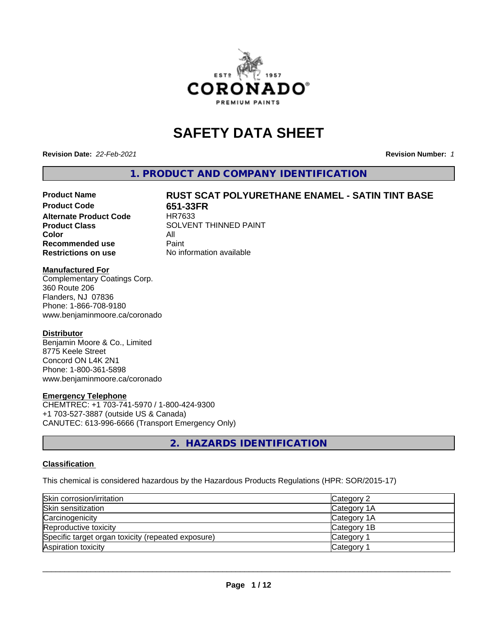

# **SAFETY DATA SHEET**

**Revision Date:** *22-Feb-2021* **Revision Number:** *1*

**1. PRODUCT AND COMPANY IDENTIFICATION**

# Product Name **RUST SCAT POLYURETHANE ENAMEL - SATIN TINT BASE**<br>Product Code **RESER**

**Alternate Product Code Color** All<br> **Recommended use** Paint **Recommended use Restrictions on use** No information available

**651-33FR**<br>HR7633 **Product Class** SOLVENT THINNED PAINT

#### **Manufactured For**

Complementary Coatings Corp. 360 Route 206 Flanders, NJ 07836 Phone: 1-866-708-9180 www.benjaminmoore.ca/coronado

#### **Distributor**

Benjamin Moore & Co., Limited 8775 Keele Street Concord ON L4K 2N1 Phone: 1-800-361-5898 www.benjaminmoore.ca/coronado

#### **Emergency Telephone**

CHEMTREC: +1 703-741-5970 / 1-800-424-9300 +1 703-527-3887 (outside US & Canada) CANUTEC: 613-996-6666 (Transport Emergency Only)

**2. HAZARDS IDENTIFICATION**

#### **Classification**

This chemical is considered hazardous by the Hazardous Products Regulations (HPR: SOR/2015-17)

| Skin corrosion/irritation                          | Category 2            |
|----------------------------------------------------|-----------------------|
| Skin sensitization                                 | Category 1A           |
| Carcinogenicity                                    | Category 1A           |
| Reproductive toxicity                              | Category 1B           |
| Specific target organ toxicity (repeated exposure) | Category <sup>2</sup> |
| Aspiration toxicity                                | <b>Category</b>       |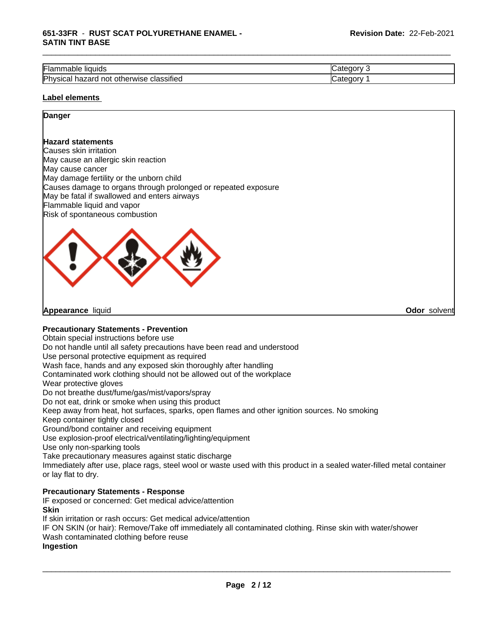#### **651-33FR** - **RUST SCAT POLYURETHANE ENAMEL - SATIN TINT BASE**

| --<br>.,<br>` liauids<br>Flar<br>Table                                 | $-$<br>-16 |
|------------------------------------------------------------------------|------------|
| .<br>Physica<br>hazard<br>classified<br>herwise<br>not<br>otł<br>Sital | 10         |

\_\_\_\_\_\_\_\_\_\_\_\_\_\_\_\_\_\_\_\_\_\_\_\_\_\_\_\_\_\_\_\_\_\_\_\_\_\_\_\_\_\_\_\_\_\_\_\_\_\_\_\_\_\_\_\_\_\_\_\_\_\_\_\_\_\_\_\_\_\_\_\_\_\_\_\_\_\_\_\_\_\_\_\_\_\_\_\_\_\_\_\_\_

#### **Label elements**

# **Danger**

#### **Hazard statements**

Causes skin irritation May cause an allergic skin reaction May cause cancer May damage fertility or the unborn child Causes damage to organs through prolonged or repeated exposure May be fatal if swallowed and enters airways Flammable liquid and vapor Risk of spontaneous combustion



**Appearance** liquid **Odor** solvent

#### **Precautionary Statements - Prevention**

Obtain special instructions before use

Do not handle until all safety precautions have been read and understood

Use personal protective equipment as required

Wash face, hands and any exposed skin thoroughly after handling

Contaminated work clothing should not be allowed out of the workplace

Wear protective gloves

Do not breathe dust/fume/gas/mist/vapors/spray

Do not eat, drink or smoke when using this product

Keep away from heat, hot surfaces, sparks, open flames and other ignition sources. No smoking

Keep container tightly closed

Ground/bond container and receiving equipment

Use explosion-proof electrical/ventilating/lighting/equipment

Use only non-sparking tools

Take precautionary measures against static discharge

Immediately after use, place rags, steel wool or waste used with this product in a sealed water-filled metal container or lay flat to dry.

#### **Precautionary Statements - Response**

IF exposed or concerned: Get medical advice/attention **Skin**

If skin irritation or rash occurs: Get medical advice/attention

IF ON SKIN (or hair): Remove/Take off immediately all contaminated clothing. Rinse skin with water/shower Wash contaminated clothing before reuse

#### **Ingestion**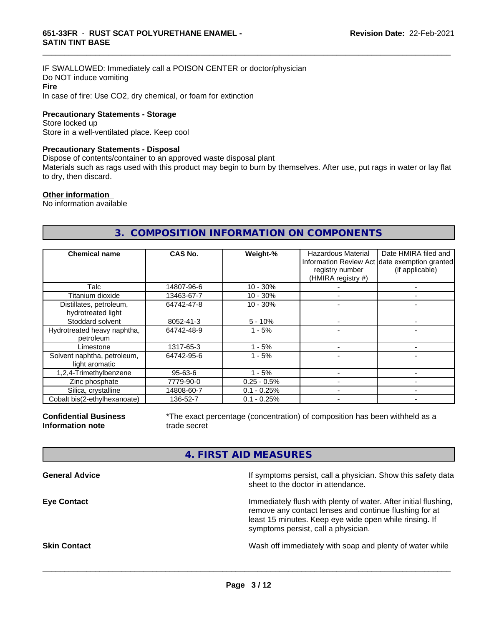IF SWALLOWED: Immediately call a POISON CENTER or doctor/physician Do NOT induce vomiting **Fire** In case of fire: Use CO2, dry chemical, or foam for extinction

**Precautionary Statements - Storage**

Store locked up Store in a well-ventilated place. Keep cool

#### **Precautionary Statements - Disposal**

Dispose of contents/container to an approved waste disposal plant

Materials such as rags used with this product may begin to burn by themselves. After use, put rags in water or lay flat to dry, then discard.

\_\_\_\_\_\_\_\_\_\_\_\_\_\_\_\_\_\_\_\_\_\_\_\_\_\_\_\_\_\_\_\_\_\_\_\_\_\_\_\_\_\_\_\_\_\_\_\_\_\_\_\_\_\_\_\_\_\_\_\_\_\_\_\_\_\_\_\_\_\_\_\_\_\_\_\_\_\_\_\_\_\_\_\_\_\_\_\_\_\_\_\_\_

#### **Other information**

No information available

# **3. COMPOSITION INFORMATION ON COMPONENTS**

| <b>Chemical name</b>                          | <b>CAS No.</b> | Weight-%      | Hazardous Material<br>registry number<br>(HMIRA registry #) | Date HMIRA filed and<br>Information Review Act date exemption granted<br>(if applicable) |
|-----------------------------------------------|----------------|---------------|-------------------------------------------------------------|------------------------------------------------------------------------------------------|
| Talc                                          | 14807-96-6     | $10 - 30%$    |                                                             |                                                                                          |
| Titanium dioxide                              | 13463-67-7     | $10 - 30%$    |                                                             |                                                                                          |
| Distillates, petroleum,<br>hydrotreated light | 64742-47-8     | $10 - 30%$    |                                                             |                                                                                          |
| Stoddard solvent                              | 8052-41-3      | $5 - 10%$     |                                                             |                                                                                          |
| Hydrotreated heavy naphtha,<br>petroleum      | 64742-48-9     | $1 - 5%$      |                                                             |                                                                                          |
| Limestone                                     | 1317-65-3      | - 5%          |                                                             |                                                                                          |
| Solvent naphtha, petroleum,<br>light aromatic | 64742-95-6     | $1 - 5%$      |                                                             |                                                                                          |
| 1,2,4-Trimethylbenzene                        | $95 - 63 - 6$  | $1 - 5%$      |                                                             |                                                                                          |
| Zinc phosphate                                | 7779-90-0      | $0.25 - 0.5%$ |                                                             |                                                                                          |
| Silica, crystalline                           | 14808-60-7     | $0.1 - 0.25%$ |                                                             |                                                                                          |
| Cobalt bis(2-ethylhexanoate)                  | 136-52-7       | $0.1 - 0.25%$ |                                                             |                                                                                          |

**Confidential Business Information note**

\*The exact percentage (concentration) of composition has been withheld as a trade secret

# **4. FIRST AID MEASURES**

| If symptoms persist, call a physician. Show this safety data<br>sheet to the doctor in attendance.                                                                                                                         |
|----------------------------------------------------------------------------------------------------------------------------------------------------------------------------------------------------------------------------|
| Immediately flush with plenty of water. After initial flushing,<br>remove any contact lenses and continue flushing for at<br>least 15 minutes. Keep eye wide open while rinsing. If<br>symptoms persist, call a physician. |
| Wash off immediately with soap and plenty of water while                                                                                                                                                                   |
|                                                                                                                                                                                                                            |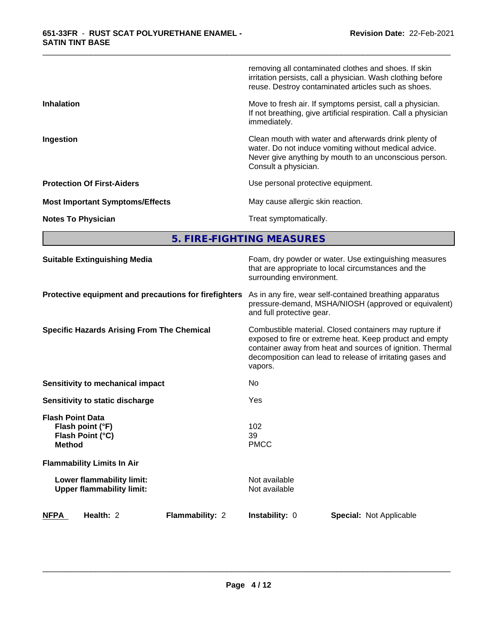|                                        | removing all contaminated clothes and shoes. If skin<br>irritation persists, call a physician. Wash clothing before<br>reuse. Destroy contaminated articles such as shoes.                       |
|----------------------------------------|--------------------------------------------------------------------------------------------------------------------------------------------------------------------------------------------------|
| <b>Inhalation</b>                      | Move to fresh air. If symptoms persist, call a physician.<br>If not breathing, give artificial respiration. Call a physician<br>immediately.                                                     |
| Ingestion                              | Clean mouth with water and afterwards drink plenty of<br>water. Do not induce vomiting without medical advice.<br>Never give anything by mouth to an unconscious person.<br>Consult a physician. |
| <b>Protection Of First-Aiders</b>      | Use personal protective equipment.                                                                                                                                                               |
| <b>Most Important Symptoms/Effects</b> | May cause allergic skin reaction.                                                                                                                                                                |
| <b>Notes To Physician</b>              | Treat symptomatically.                                                                                                                                                                           |

\_\_\_\_\_\_\_\_\_\_\_\_\_\_\_\_\_\_\_\_\_\_\_\_\_\_\_\_\_\_\_\_\_\_\_\_\_\_\_\_\_\_\_\_\_\_\_\_\_\_\_\_\_\_\_\_\_\_\_\_\_\_\_\_\_\_\_\_\_\_\_\_\_\_\_\_\_\_\_\_\_\_\_\_\_\_\_\_\_\_\_\_\_

**5. FIRE-FIGHTING MEASURES**

| <b>Suitable Extinguishing Media</b>                                              | Foam, dry powder or water. Use extinguishing measures<br>that are appropriate to local circumstances and the<br>surrounding environment.                                                                                                               |
|----------------------------------------------------------------------------------|--------------------------------------------------------------------------------------------------------------------------------------------------------------------------------------------------------------------------------------------------------|
| Protective equipment and precautions for firefighters                            | As in any fire, wear self-contained breathing apparatus<br>pressure-demand, MSHA/NIOSH (approved or equivalent)<br>and full protective gear.                                                                                                           |
| <b>Specific Hazards Arising From The Chemical</b>                                | Combustible material. Closed containers may rupture if<br>exposed to fire or extreme heat. Keep product and empty<br>container away from heat and sources of ignition. Thermal<br>decomposition can lead to release of irritating gases and<br>vapors. |
| Sensitivity to mechanical impact                                                 | <b>No</b>                                                                                                                                                                                                                                              |
| Sensitivity to static discharge                                                  | Yes                                                                                                                                                                                                                                                    |
| <b>Flash Point Data</b><br>Flash point (°F)<br>Flash Point (°C)<br><b>Method</b> | 102<br>39<br><b>PMCC</b>                                                                                                                                                                                                                               |
| <b>Flammability Limits In Air</b>                                                |                                                                                                                                                                                                                                                        |
| Lower flammability limit:<br><b>Upper flammability limit:</b>                    | Not available<br>Not available                                                                                                                                                                                                                         |
| <b>NFPA</b><br>Flammability: 2<br>Health: 2                                      | Instability: 0<br><b>Special: Not Applicable</b>                                                                                                                                                                                                       |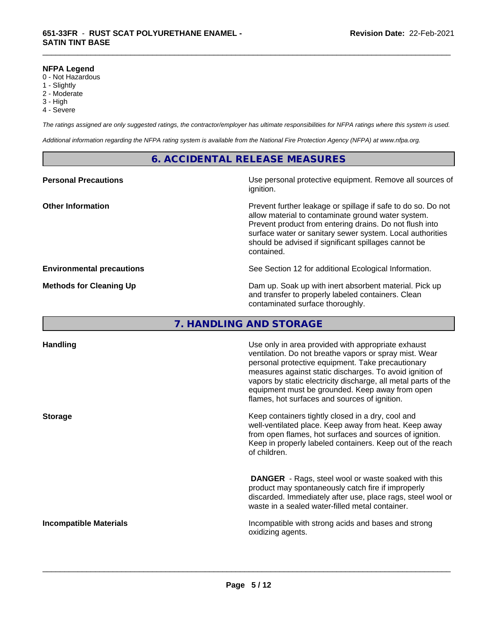#### **NFPA Legend**

- 0 Not Hazardous
- 1 Slightly
- 2 Moderate
- 3 High
- 4 Severe

*The ratings assigned are only suggested ratings, the contractor/employer has ultimate responsibilities for NFPA ratings where this system is used.*

\_\_\_\_\_\_\_\_\_\_\_\_\_\_\_\_\_\_\_\_\_\_\_\_\_\_\_\_\_\_\_\_\_\_\_\_\_\_\_\_\_\_\_\_\_\_\_\_\_\_\_\_\_\_\_\_\_\_\_\_\_\_\_\_\_\_\_\_\_\_\_\_\_\_\_\_\_\_\_\_\_\_\_\_\_\_\_\_\_\_\_\_\_

*Additional information regarding the NFPA rating system is available from the National Fire Protection Agency (NFPA) at www.nfpa.org.*

## **6. ACCIDENTAL RELEASE MEASURES**

| Use personal protective equipment. Remove all sources of<br>ignition.                                                                                                                                                                                                                                            |
|------------------------------------------------------------------------------------------------------------------------------------------------------------------------------------------------------------------------------------------------------------------------------------------------------------------|
| Prevent further leakage or spillage if safe to do so. Do not<br>allow material to contaminate ground water system.<br>Prevent product from entering drains. Do not flush into<br>surface water or sanitary sewer system. Local authorities<br>should be advised if significant spillages cannot be<br>contained. |
| See Section 12 for additional Ecological Information.                                                                                                                                                                                                                                                            |
| Dam up. Soak up with inert absorbent material. Pick up<br>and transfer to properly labeled containers. Clean<br>contaminated surface thoroughly.                                                                                                                                                                 |
|                                                                                                                                                                                                                                                                                                                  |

# **7. HANDLING AND STORAGE**

| <b>Handling</b>               | Use only in area provided with appropriate exhaust<br>ventilation. Do not breathe vapors or spray mist. Wear<br>personal protective equipment. Take precautionary<br>measures against static discharges. To avoid ignition of<br>vapors by static electricity discharge, all metal parts of the<br>equipment must be grounded. Keep away from open<br>flames, hot surfaces and sources of ignition. |
|-------------------------------|-----------------------------------------------------------------------------------------------------------------------------------------------------------------------------------------------------------------------------------------------------------------------------------------------------------------------------------------------------------------------------------------------------|
| <b>Storage</b>                | Keep containers tightly closed in a dry, cool and<br>well-ventilated place. Keep away from heat. Keep away<br>from open flames, hot surfaces and sources of ignition.<br>Keep in properly labeled containers. Keep out of the reach<br>of children.                                                                                                                                                 |
|                               | <b>DANGER</b> - Rags, steel wool or waste soaked with this<br>product may spontaneously catch fire if improperly<br>discarded. Immediately after use, place rags, steel wool or<br>waste in a sealed water-filled metal container.                                                                                                                                                                  |
| <b>Incompatible Materials</b> | Incompatible with strong acids and bases and strong<br>oxidizing agents.                                                                                                                                                                                                                                                                                                                            |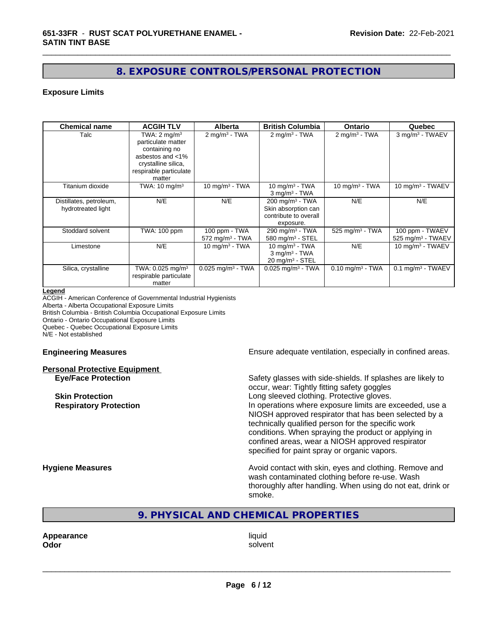# **8. EXPOSURE CONTROLS/PERSONAL PROTECTION**

\_\_\_\_\_\_\_\_\_\_\_\_\_\_\_\_\_\_\_\_\_\_\_\_\_\_\_\_\_\_\_\_\_\_\_\_\_\_\_\_\_\_\_\_\_\_\_\_\_\_\_\_\_\_\_\_\_\_\_\_\_\_\_\_\_\_\_\_\_\_\_\_\_\_\_\_\_\_\_\_\_\_\_\_\_\_\_\_\_\_\_\_\_

#### **Exposure Limits**

| <b>Chemical name</b>                          | <b>ACGIH TLV</b>                                                                                                                              | <b>Alberta</b>                                 | <b>British Columbia</b>                                                                 | Ontario                        | Quebec                                             |
|-----------------------------------------------|-----------------------------------------------------------------------------------------------------------------------------------------------|------------------------------------------------|-----------------------------------------------------------------------------------------|--------------------------------|----------------------------------------------------|
| Talc                                          | TWA: $2 \text{ mq/m}^3$<br>particulate matter<br>containing no<br>asbestos and <1%<br>crystalline silica,<br>respirable particulate<br>matter | $2$ mg/m <sup>3</sup> - TWA                    | $2 \text{ mg/m}^3$ - TWA                                                                | 2 mg/m <sup>3</sup> - TWA      | 3 mg/m <sup>3</sup> - TWAEV                        |
| Titanium dioxide                              | TWA: $10 \text{ mg/m}^3$                                                                                                                      | 10 mg/m $3$ - TWA                              | $10 \text{ mg/m}^3$ - TWA<br>$3$ mg/m <sup>3</sup> - TWA                                | 10 mg/m $3$ - TWA              | 10 mg/m $3$ - TWAEV                                |
| Distillates, petroleum,<br>hydrotreated light | N/E                                                                                                                                           | N/E                                            | $200 \text{ mg/m}^3$ - TWA<br>Skin absorption can<br>contribute to overall<br>exposure. | N/E                            | N/E                                                |
| Stoddard solvent                              | TWA: 100 ppm                                                                                                                                  | 100 ppm - TWA<br>$572$ mg/m <sup>3</sup> - TWA | $290$ mg/m <sup>3</sup> - TWA<br>580 mg/m <sup>3</sup> - STEL                           | 525 mg/m <sup>3</sup> - TWA    | 100 ppm - TWAEV<br>$525$ mg/m <sup>3</sup> - TWAEV |
| Limestone                                     | N/E                                                                                                                                           | 10 mg/m $3$ - TWA                              | 10 mg/m $3$ - TWA<br>$3$ mg/m <sup>3</sup> - TWA<br>$20 \text{ mg/m}^3$ - STEL          | N/E                            | 10 mg/m <sup>3</sup> - TWAEV                       |
| Silica, crystalline                           | TWA: 0.025 mg/m <sup>3</sup><br>respirable particulate<br>matter                                                                              | $0.025$ mg/m <sup>3</sup> - TWA                | $0.025$ mg/m <sup>3</sup> - TWA                                                         | $0.10$ mg/m <sup>3</sup> - TWA | 0.1 mg/m <sup>3</sup> - TWAEV                      |

#### **Legend**

ACGIH - American Conference of Governmental Industrial Hygienists Alberta - Alberta Occupational Exposure Limits British Columbia - British Columbia Occupational Exposure Limits Ontario - Ontario Occupational Exposure Limits Quebec - Quebec Occupational Exposure Limits N/E - Not established

#### **Personal Protective Equipment**

**Engineering Measures Ensure adequate ventilation, especially in confined areas.** 

**Eye/Face Protection** Safety glasses with side-shields. If splashes are likely to occur, wear: Tightly fitting safety goggles **Skin Protection Skin Protection Skin Protective gloves.** Long sleeved clothing. Protective gloves. **Respiratory Protection In operations where exposure limits are exceeded, use a** NIOSH approved respirator that has been selected by a technically qualified person for the specific work conditions. When spraying the product or applying in confined areas, wear a NIOSH approved respirator specified for paint spray or organic vapors.

**Hygiene Measures Avoid contact with skin, eyes and clothing. Remove and Avoid contact with skin, eyes and clothing. Remove and Avoid contact with skin, eyes and clothing. Remove and** wash contaminated clothing before re-use. Wash thoroughly after handling. When using do not eat, drink or smoke.

**9. PHYSICAL AND CHEMICAL PROPERTIES**

**Appearance** liquid **Odor** solvent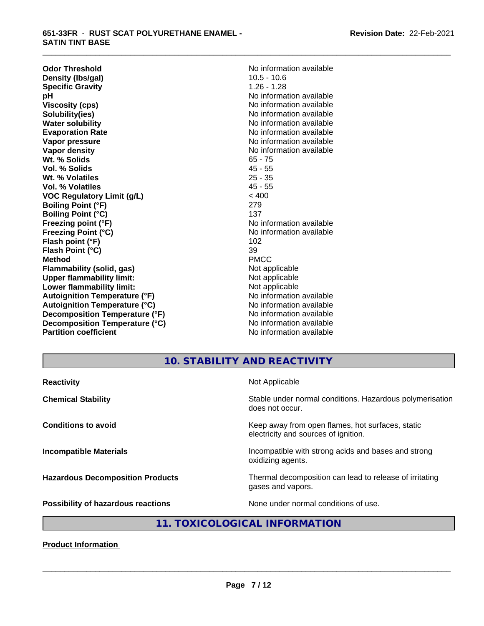#### **651-33FR** - **RUST SCAT POLYURETHANE ENAMEL - SATIN TINT BASE**

**Odor Threshold**<br> **Density (Ibs/gal)**<br> **Density (Ibs/gal)**<br> **No information available**<br>
10.5 - 10.6 **Density (Ibs/gal)** 10.5 - 10.6<br> **Specific Gravity** 1.26 - 1.28 **Specific Gravity**<br>pH **Viscosity (cps)** No information available in the Viscosity (cps) **Solubility(ies)** No information available **Water solubility** No information available **Evaporation Rate No information available No information available Vapor pressure** No information available **No information** available **Vapor density No information available No information available Wt. % Solids** 65 - 75 **Vol. % Solids** 45 - 55 **Wt. % Volatiles** 25 - 35<br> **Vol. % Volatiles** 25 - 35 **Vol. % Volatiles VOC Regulatory Limit (g/L)** < 400 **Boiling Point (°F)** 279 **Boiling Point (°C)** 137 **Freezing point (°F)** The state of the state of the Noinformation available **Freezing Point (°C)** No information available **Flash point (°F)** 102 **Flash Point (°C)** 39 **Method** PMCC **Flammability (solid, gas)** Not applicable **Upper flammability limit:**<br> **Lower flammability limit:**<br>
Not applicable<br>
Not applicable **Lower flammability limit:**<br> **Autoignition Temperature (°F)**<br>
Mo information available **Autoignition Temperature (°F) Autoignition Temperature (°C)** No information available **Decomposition Temperature (°F)** No information available **Decomposition Temperature (°C)** No information available **Partition coefficient** and the settlement of the Non-Information available

**No information available** 

\_\_\_\_\_\_\_\_\_\_\_\_\_\_\_\_\_\_\_\_\_\_\_\_\_\_\_\_\_\_\_\_\_\_\_\_\_\_\_\_\_\_\_\_\_\_\_\_\_\_\_\_\_\_\_\_\_\_\_\_\_\_\_\_\_\_\_\_\_\_\_\_\_\_\_\_\_\_\_\_\_\_\_\_\_\_\_\_\_\_\_\_\_

# **10. STABILITY AND REACTIVITY**

| Stable under normal conditions. Hazardous polymerisation<br>does not occur.<br>Keep away from open flames, hot surfaces, static<br>electricity and sources of ignition.<br>Incompatible with strong acids and bases and strong<br>oxidizing agents.<br>Thermal decomposition can lead to release of irritating<br>gases and vapors. | <b>Reactivity</b>                       | Not Applicable                       |
|-------------------------------------------------------------------------------------------------------------------------------------------------------------------------------------------------------------------------------------------------------------------------------------------------------------------------------------|-----------------------------------------|--------------------------------------|
|                                                                                                                                                                                                                                                                                                                                     | <b>Chemical Stability</b>               |                                      |
|                                                                                                                                                                                                                                                                                                                                     | <b>Conditions to avoid</b>              |                                      |
|                                                                                                                                                                                                                                                                                                                                     | <b>Incompatible Materials</b>           |                                      |
|                                                                                                                                                                                                                                                                                                                                     | <b>Hazardous Decomposition Products</b> |                                      |
|                                                                                                                                                                                                                                                                                                                                     | Possibility of hazardous reactions      | None under normal conditions of use. |

# **11. TOXICOLOGICAL INFORMATION**

**Product Information**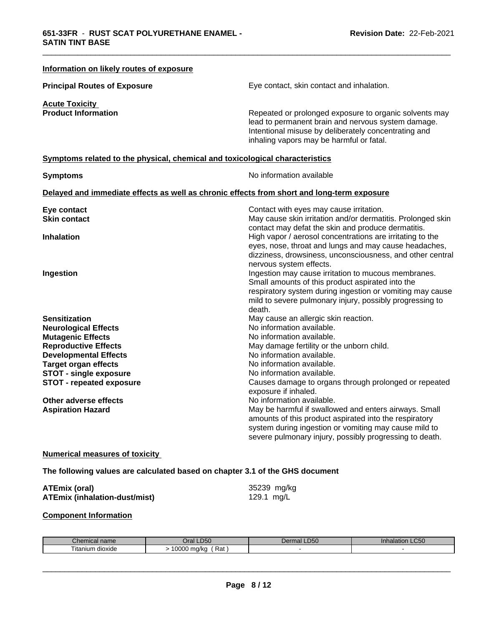| <b>Principal Routes of Exposure</b>                                          | Eye contact, skin contact and inhalation.                                                               |
|------------------------------------------------------------------------------|---------------------------------------------------------------------------------------------------------|
| <b>Acute Toxicity</b>                                                        |                                                                                                         |
| <b>Product Information</b>                                                   | Repeated or prolonged exposure to organic solvents may                                                  |
|                                                                              | lead to permanent brain and nervous system damage.                                                      |
|                                                                              | Intentional misuse by deliberately concentrating and                                                    |
|                                                                              | inhaling vapors may be harmful or fatal.                                                                |
| Symptoms related to the physical, chemical and toxicological characteristics |                                                                                                         |
| <b>Symptoms</b>                                                              | No information available                                                                                |
|                                                                              | Delayed and immediate effects as well as chronic effects from short and long-term exposure              |
| Eye contact                                                                  | Contact with eyes may cause irritation.                                                                 |
| <b>Skin contact</b>                                                          | May cause skin irritation and/or dermatitis. Prolonged skin                                             |
|                                                                              | contact may defat the skin and produce dermatitis.                                                      |
| <b>Inhalation</b>                                                            | High vapor / aerosol concentrations are irritating to the                                               |
|                                                                              | eyes, nose, throat and lungs and may cause headaches,                                                   |
|                                                                              | dizziness, drowsiness, unconsciousness, and other central                                               |
|                                                                              | nervous system effects.                                                                                 |
| Ingestion                                                                    | Ingestion may cause irritation to mucous membranes.<br>Small amounts of this product aspirated into the |
|                                                                              | respiratory system during ingestion or vomiting may cause                                               |
|                                                                              | mild to severe pulmonary injury, possibly progressing to                                                |
|                                                                              | death.                                                                                                  |
| <b>Sensitization</b>                                                         | May cause an allergic skin reaction.                                                                    |
| <b>Neurological Effects</b>                                                  | No information available.                                                                               |
| <b>Mutagenic Effects</b>                                                     | No information available.                                                                               |
| <b>Reproductive Effects</b>                                                  | May damage fertility or the unborn child.                                                               |
| <b>Developmental Effects</b>                                                 | No information available.                                                                               |
| <b>Target organ effects</b>                                                  | No information available.                                                                               |
| <b>STOT - single exposure</b>                                                | No information available.                                                                               |
| <b>STOT - repeated exposure</b>                                              | Causes damage to organs through prolonged or repeated                                                   |
|                                                                              | exposure if inhaled.                                                                                    |
| Other adverse effects<br><b>Aspiration Hazard</b>                            | No information available.<br>May be harmful if swallowed and enters airways. Small                      |
|                                                                              | amounts of this product aspirated into the respiratory                                                  |
|                                                                              | system during ingestion or vomiting may cause mild to                                                   |
|                                                                              | severe pulmonary injury, possibly progressing to death.                                                 |
| <b>Numerical measures of toxicity</b>                                        |                                                                                                         |
| The following values are calculated based on chapter 3.1 of the GHS document |                                                                                                         |
| <b>ATEmix (oral)</b>                                                         | 35239 mg/kg                                                                                             |
| <b>ATEmix (inhalation-dust/mist)</b>                                         | 129.1 mg/L                                                                                              |

# **Component Information**

| Шьс<br>чань.<br>    | D50                                      | $R - C$<br>. J C<br>しいい | $\_C50$<br>паа |
|---------------------|------------------------------------------|-------------------------|----------------|
| dioxide<br>…ttanıur | 0.000<br>⋻∼<br>.<br>Ral<br>111 U N.<br>. |                         |                |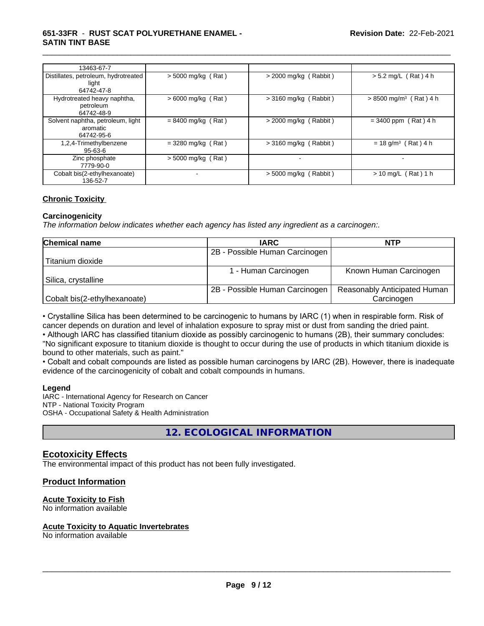#### **651-33FR** - **RUST SCAT POLYURETHANE ENAMEL - SATIN TINT BASE**

| 13463-67-7                                                  |                      |                                |                                      |
|-------------------------------------------------------------|----------------------|--------------------------------|--------------------------------------|
| Distillates, petroleum, hydrotreated<br>light<br>64742-47-8 | $>$ 5000 mg/kg (Rat) | $>$ 2000 mg/kg (Rabbit)        | $> 5.2$ mg/L (Rat) 4 h               |
| Hydrotreated heavy naphtha,<br>petroleum<br>64742-48-9      | $> 6000$ mg/kg (Rat) | $>$ 3160 mg/kg (Rabbit)        | $> 8500$ mg/m <sup>3</sup> (Rat) 4 h |
| Solvent naphtha, petroleum, light<br>aromatic<br>64742-95-6 | $= 8400$ mg/kg (Rat) | $>$ 2000 mg/kg (Rabbit)        | $= 3400$ ppm (Rat) 4 h               |
| 1,2,4-Trimethylbenzene<br>$95 - 63 - 6$                     | $= 3280$ mg/kg (Rat) | (Rabbit)<br>$> 3160$ mg/kg (   | $= 18$ g/m <sup>3</sup> (Rat) 4 h    |
| Zinc phosphate<br>7779-90-0                                 | $> 5000$ mg/kg (Rat) |                                |                                      |
| Cobalt bis(2-ethylhexanoate)<br>136-52-7                    |                      | (Rabbit)<br>$> 5000$ mg/kg $/$ | $> 10$ mg/L (Rat) 1 h                |

\_\_\_\_\_\_\_\_\_\_\_\_\_\_\_\_\_\_\_\_\_\_\_\_\_\_\_\_\_\_\_\_\_\_\_\_\_\_\_\_\_\_\_\_\_\_\_\_\_\_\_\_\_\_\_\_\_\_\_\_\_\_\_\_\_\_\_\_\_\_\_\_\_\_\_\_\_\_\_\_\_\_\_\_\_\_\_\_\_\_\_\_\_

#### **Chronic Toxicity**

#### **Carcinogenicity**

*The information below indicateswhether each agency has listed any ingredient as a carcinogen:.*

| <b>Chemical name</b>         | <b>IARC</b>                    | <b>NTP</b>                   |
|------------------------------|--------------------------------|------------------------------|
|                              | 2B - Possible Human Carcinogen |                              |
| Titanium dioxide             |                                |                              |
|                              | - Human Carcinogen             | Known Human Carcinogen       |
| Silica, crystalline          |                                |                              |
|                              | 2B - Possible Human Carcinogen | Reasonably Anticipated Human |
| Cobalt bis(2-ethylhexanoate) |                                | Carcinogen                   |

• Crystalline Silica has been determined to be carcinogenic to humans by IARC (1) when in respirable form. Risk of cancer depends on duration and level of inhalation exposure to spray mist or dust from sanding the dried paint.

• Although IARC has classified titanium dioxide as possibly carcinogenic to humans (2B), their summary concludes: "No significant exposure to titanium dioxide is thought to occur during the use of products in which titanium dioxide is bound to other materials, such as paint."

• Cobalt and cobalt compounds are listed as possible human carcinogens by IARC (2B). However, there is inadequate evidence of the carcinogenicity of cobalt and cobalt compounds in humans.

#### **Legend**

IARC - International Agency for Research on Cancer NTP - National Toxicity Program OSHA - Occupational Safety & Health Administration

**12. ECOLOGICAL INFORMATION**

# **Ecotoxicity Effects**

The environmental impact of this product has not been fully investigated.

#### **Product Information**

#### **Acute Toxicity to Fish**

No information available

#### **Acute Toxicity to Aquatic Invertebrates**

No information available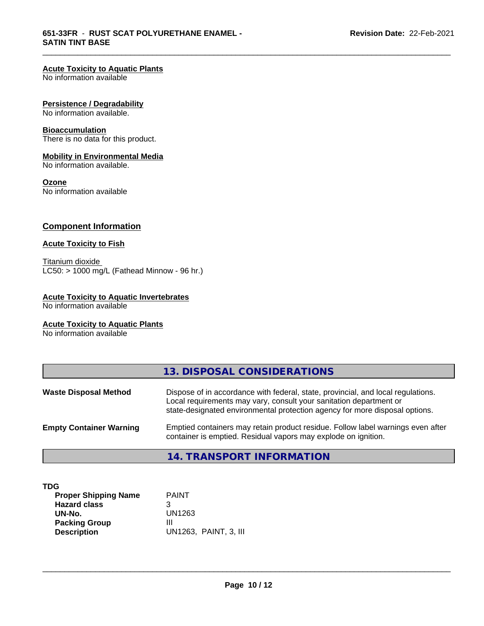#### **Acute Toxicity to Aquatic Plants**

No information available

#### **Persistence / Degradability**

No information available.

# **Bioaccumulation**

There is no data for this product.

#### **Mobility in Environmental Media**

No information available.

### **Ozone**

No information available

# **Component Information**

# **Acute Toxicity to Fish**

Titanium dioxide  $LC50: > 1000$  mg/L (Fathead Minnow - 96 hr.)

#### **Acute Toxicity to Aquatic Invertebrates**

No information available

#### **Acute Toxicity to Aquatic Plants**

No information available

|                                | 13. DISPOSAL CONSIDERATIONS                                                                                                                                                                                                           |
|--------------------------------|---------------------------------------------------------------------------------------------------------------------------------------------------------------------------------------------------------------------------------------|
| <b>Waste Disposal Method</b>   | Dispose of in accordance with federal, state, provincial, and local regulations.<br>Local requirements may vary, consult your sanitation department or<br>state-designated environmental protection agency for more disposal options. |
| <b>Empty Container Warning</b> | Emptied containers may retain product residue. Follow label warnings even after<br>container is emptied. Residual vapors may explode on ignition.                                                                                     |
|                                | <b>14. TRANSPORT INFORMATION</b>                                                                                                                                                                                                      |

\_\_\_\_\_\_\_\_\_\_\_\_\_\_\_\_\_\_\_\_\_\_\_\_\_\_\_\_\_\_\_\_\_\_\_\_\_\_\_\_\_\_\_\_\_\_\_\_\_\_\_\_\_\_\_\_\_\_\_\_\_\_\_\_\_\_\_\_\_\_\_\_\_\_\_\_\_\_\_\_\_\_\_\_\_\_\_\_\_\_\_\_\_

**TDG**

| <b>Proper Shipping Name</b> | <b>PAINT</b>          |
|-----------------------------|-----------------------|
| <b>Hazard class</b>         | 3                     |
| UN-No.                      | UN1263                |
| <b>Packing Group</b>        | Ш                     |
| <b>Description</b>          | UN1263, PAINT, 3, III |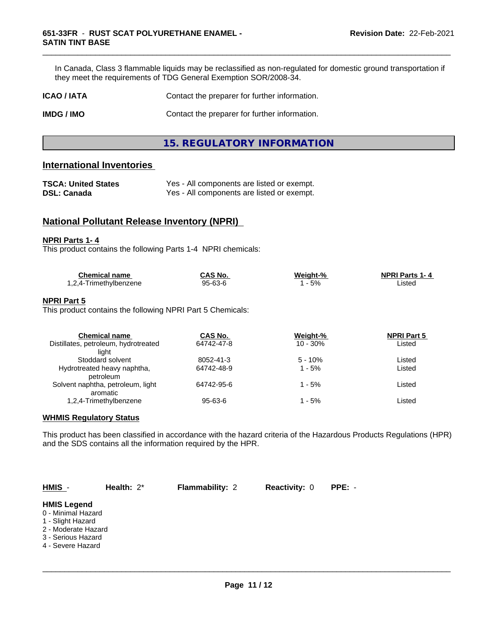In Canada, Class 3 flammable liquids may be reclassified as non-regulated for domestic ground transportation if they meet the requirements of TDG General Exemption SOR/2008-34.

\_\_\_\_\_\_\_\_\_\_\_\_\_\_\_\_\_\_\_\_\_\_\_\_\_\_\_\_\_\_\_\_\_\_\_\_\_\_\_\_\_\_\_\_\_\_\_\_\_\_\_\_\_\_\_\_\_\_\_\_\_\_\_\_\_\_\_\_\_\_\_\_\_\_\_\_\_\_\_\_\_\_\_\_\_\_\_\_\_\_\_\_\_

| <b>ICAO / IATA</b> | Contact the preparer for further information. |
|--------------------|-----------------------------------------------|
|                    |                                               |

**IMDG / IMO** Contact the preparer for further information.

**15. REGULATORY INFORMATION**

# **International Inventories**

| <b>TSCA: United States</b> | Yes - All components are listed or exempt. |
|----------------------------|--------------------------------------------|
| <b>DSL: Canada</b>         | Yes - All components are listed or exempt. |

# **National Pollutant Release Inventory (NPRI)**

#### **NPRI Parts 1- 4**

This product contains the following Parts 1-4 NPRI chemicals:

| <b>Chemical name</b>                    | CAS No. | Weight-% | <b>NPRI Parts 1-4</b> |  |
|-----------------------------------------|---------|----------|-----------------------|--|
| $\cdot$ 24-1.<br>Γrimeth∨lbenzene<br>۰, | 95-63-6 | 5%       | Listed                |  |

#### **NPRI Part 5**

This product contains the following NPRI Part 5 Chemicals:

| <b>Chemical name</b>                 | CAS No.    | Weight-%   | <b>NPRI Part 5</b> |  |
|--------------------------------------|------------|------------|--------------------|--|
| Distillates, petroleum, hydrotreated | 64742-47-8 | $10 - 30%$ | Listed             |  |
| liaht                                |            |            |                    |  |
| Stoddard solvent                     | 8052-41-3  | $5 - 10%$  | Listed             |  |
| Hydrotreated heavy naphtha,          | 64742-48-9 | $1 - 5%$   | Listed             |  |
| petroleum                            |            |            |                    |  |
| Solvent naphtha, petroleum, light    | 64742-95-6 | $1 - 5%$   | Listed             |  |
| aromatic                             |            |            |                    |  |
| 1,2,4-Trimethylbenzene               | 95-63-6    | 1 - 5%     | Listed             |  |

#### **WHMIS Regulatory Status**

This product has been classified in accordance with the hazard criteria of the Hazardous Products Regulations (HPR) and the SDS contains all the information required by the HPR.

| HMIS -                                                                                                                          | Health: $2^*$ | <b>Flammability: 2</b> | <b>Reactivity: 0</b> | $PPE: -$ |
|---------------------------------------------------------------------------------------------------------------------------------|---------------|------------------------|----------------------|----------|
| <b>HMIS Legend</b><br>0 - Minimal Hazard<br>1 - Slight Hazard<br>2 - Moderate Hazard<br>3 - Serious Hazard<br>4 - Severe Hazard |               |                        |                      |          |